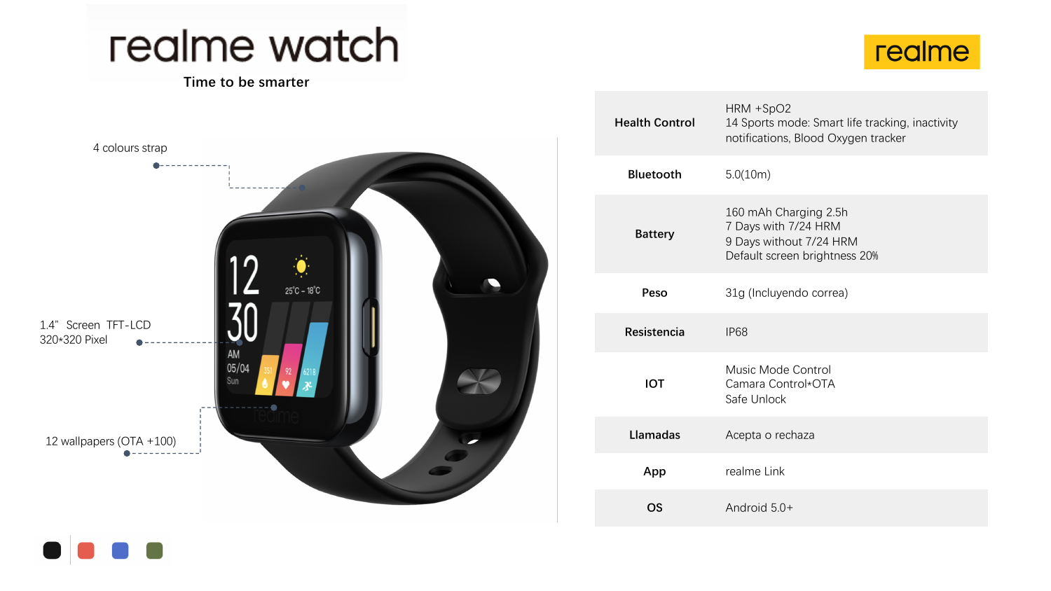## realme watch

## **Time to be smarter**





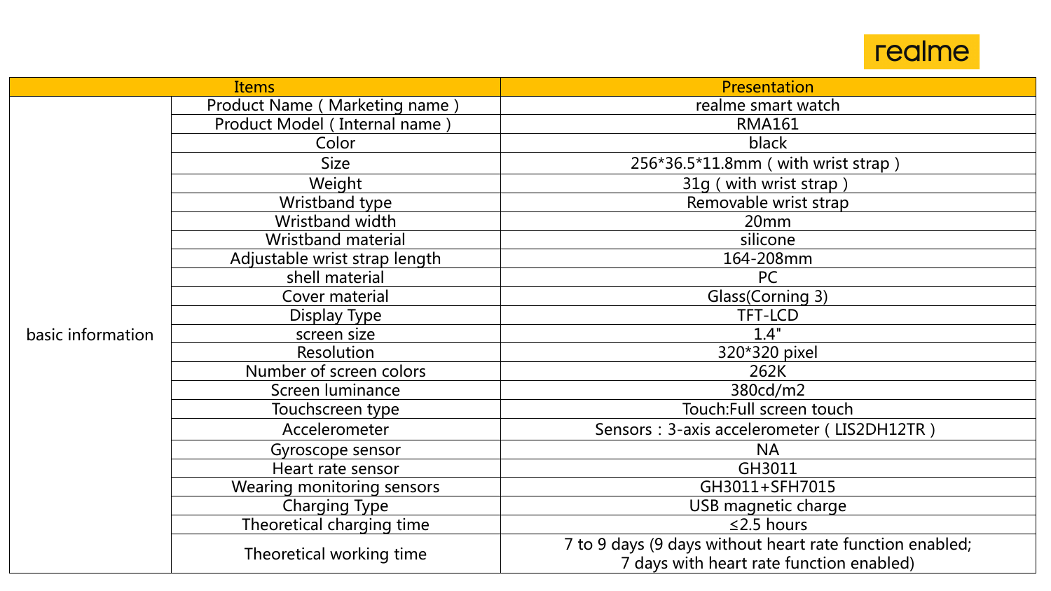

| <b>Items</b>      |                               | Presentation                                                                                         |
|-------------------|-------------------------------|------------------------------------------------------------------------------------------------------|
| basic information | Product Name (Marketing name) | realme smart watch                                                                                   |
|                   | Product Model (Internal name) | <b>RMA161</b>                                                                                        |
|                   | Color                         | black                                                                                                |
|                   | <b>Size</b>                   | 256*36.5*11.8mm (with wrist strap)                                                                   |
|                   | Weight                        | 31g (with wrist strap)                                                                               |
|                   | Wristband type                | Removable wrist strap                                                                                |
|                   | Wristband width               | 20 <sub>mm</sub>                                                                                     |
|                   | <b>Wristband material</b>     | silicone                                                                                             |
|                   | Adjustable wrist strap length | 164-208mm                                                                                            |
|                   | shell material                | <b>PC</b>                                                                                            |
|                   | Cover material                | Glass(Corning 3)                                                                                     |
|                   | Display Type                  | <b>TFT-LCD</b>                                                                                       |
|                   | screen size                   | 1.4"                                                                                                 |
|                   | Resolution                    | 320*320 pixel                                                                                        |
|                   | Number of screen colors       | 262K                                                                                                 |
|                   | Screen luminance              | 380cd/m2                                                                                             |
|                   | Touchscreen type              | Touch: Full screen touch                                                                             |
|                   | Accelerometer                 | Sensors: 3-axis accelerometer (LIS2DH12TR)                                                           |
|                   | Gyroscope sensor              | <b>NA</b>                                                                                            |
|                   | Heart rate sensor             | GH3011                                                                                               |
|                   | Wearing monitoring sensors    | GH3011+SFH7015                                                                                       |
|                   | <b>Charging Type</b>          | USB magnetic charge                                                                                  |
|                   | Theoretical charging time     | $\leq$ 2.5 hours                                                                                     |
|                   | Theoretical working time      | 7 to 9 days (9 days without heart rate function enabled;<br>7 days with heart rate function enabled) |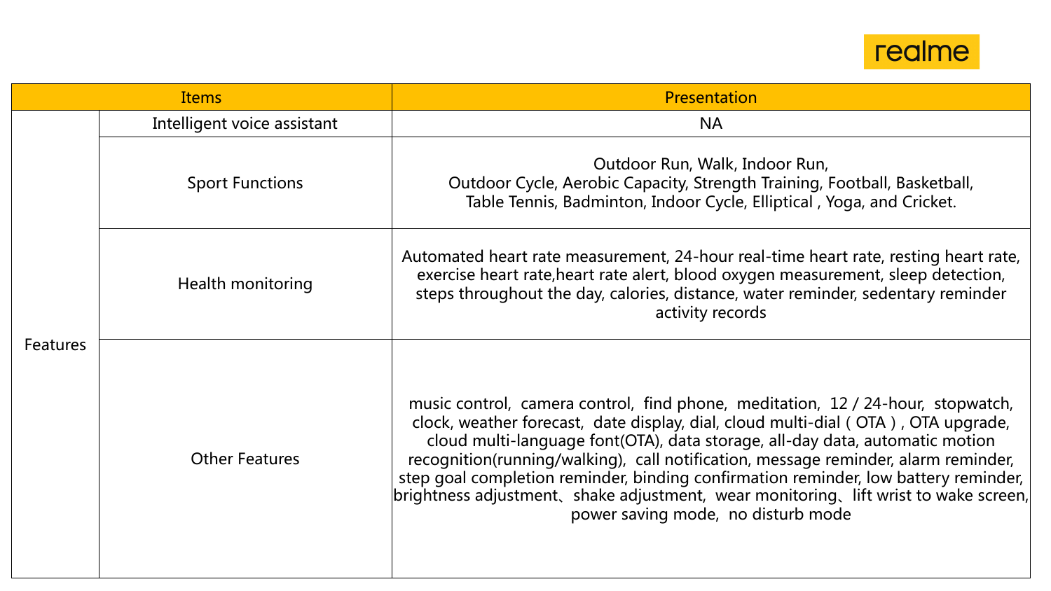

| <b>Items</b>    |                             | <b>Presentation</b>                                                                                                                                                                                                                                                                                                                                                                                                                                                                                                                                               |
|-----------------|-----------------------------|-------------------------------------------------------------------------------------------------------------------------------------------------------------------------------------------------------------------------------------------------------------------------------------------------------------------------------------------------------------------------------------------------------------------------------------------------------------------------------------------------------------------------------------------------------------------|
|                 | Intelligent voice assistant | <b>NA</b>                                                                                                                                                                                                                                                                                                                                                                                                                                                                                                                                                         |
| <b>Features</b> | <b>Sport Functions</b>      | Outdoor Run, Walk, Indoor Run,<br>Outdoor Cycle, Aerobic Capacity, Strength Training, Football, Basketball,<br>Table Tennis, Badminton, Indoor Cycle, Elliptical, Yoga, and Cricket.                                                                                                                                                                                                                                                                                                                                                                              |
|                 | Health monitoring           | Automated heart rate measurement, 24-hour real-time heart rate, resting heart rate,<br>exercise heart rate, heart rate alert, blood oxygen measurement, sleep detection,<br>steps throughout the day, calories, distance, water reminder, sedentary reminder<br>activity records                                                                                                                                                                                                                                                                                  |
|                 | <b>Other Features</b>       | music control, camera control, find phone, meditation, 12 / 24-hour, stopwatch,<br>clock, weather forecast, date display, dial, cloud multi-dial (OTA), OTA upgrade,<br>cloud multi-language font(OTA), data storage, all-day data, automatic motion<br>recognition(running/walking), call notification, message reminder, alarm reminder,<br>step goal completion reminder, binding confirmation reminder, low battery reminder,  <br>brightness adjustment, shake adjustment, wear monitoring, lift wrist to wake screen,<br>power saving mode, no disturb mode |